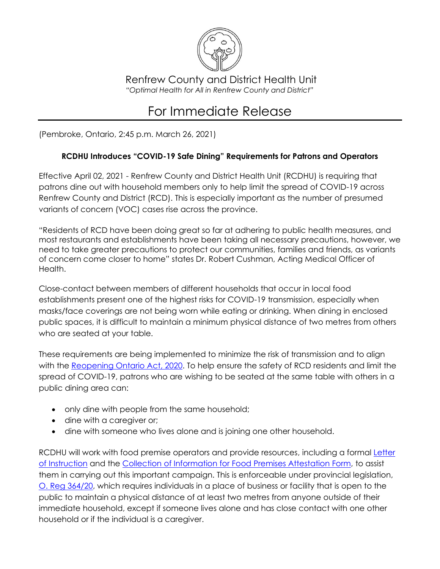

Renfrew County and District Health Unit *"Optimal Health for All in Renfrew County and District"*

## For Immediate Release

(Pembroke, Ontario, 2:45 p.m. March 26, 2021)

## **RCDHU Introduces "COVID-19 Safe Dining" Requirements for Patrons and Operators**

Effective April 02, 2021 - Renfrew County and District Health Unit (RCDHU) is requiring that patrons dine out with household members only to help limit the spread of COVID-19 across Renfrew County and District (RCD). This is especially important as the number of presumed variants of concern (VOC) cases rise across the province.

"Residents of RCD have been doing great so far at adhering to public health measures, and most restaurants and establishments have been taking all necessary precautions, however, we need to take greater precautions to protect our communities, families and friends, as variants of concern come closer to home" states Dr. Robert Cushman, Acting Medical Officer of Health.

Close-contact between members of different households that occur in local food establishments present one of the highest risks for COVID-19 transmission, especially when masks/face coverings are not being worn while eating or drinking. When dining in enclosed public spaces, it is difficult to maintain a minimum physical distance of two metres from others who are seated at your table.

These requirements are being implemented to minimize the risk of transmission and to align with the [Reopening Ontario Act, 2020.](https://www.ontario.ca/laws/statute/20r17) To help ensure the safety of RCD residents and limit the spread of COVID-19, patrons who are wishing to be seated at the same table with others in a public dining area can:

- only dine with people from the same household;
- dine with a caregiver or;
- dine with someone who lives alone and is joining one other household.

RCDHU will work with food premise operators and provide resources, including a formal [Letter](https://www.rcdhu.com/wp-content/uploads/2021/03/Letter-of-Instruction-for-Dining-with-Household-Members-in-Food-Premises-March-26-2021-FINAL.pdf)  [of Instruction](https://www.rcdhu.com/wp-content/uploads/2021/03/Letter-of-Instruction-for-Dining-with-Household-Members-in-Food-Premises-March-26-2021-FINAL.pdf) and the [Collection of Information for Food Premises Attestation Form,](https://www.rcdhu.com/wp-content/uploads/2021/03/Collection-of-Information-or-Attestation-Form-for-Food-Premises-and-Household-Members-Dining-March-26-2021-FINAL.pdf) to assist them in carrying out this important campaign. This is enforceable under provincial legislation, [O. Reg 364/20,](https://www.ontario.ca/laws/regulation/200364) which requires individuals in a place of business or facility that is open to the public to maintain a physical distance of at least two metres from anyone outside of their immediate household, except if someone lives alone and has close contact with one other household or if the individual is a caregiver.